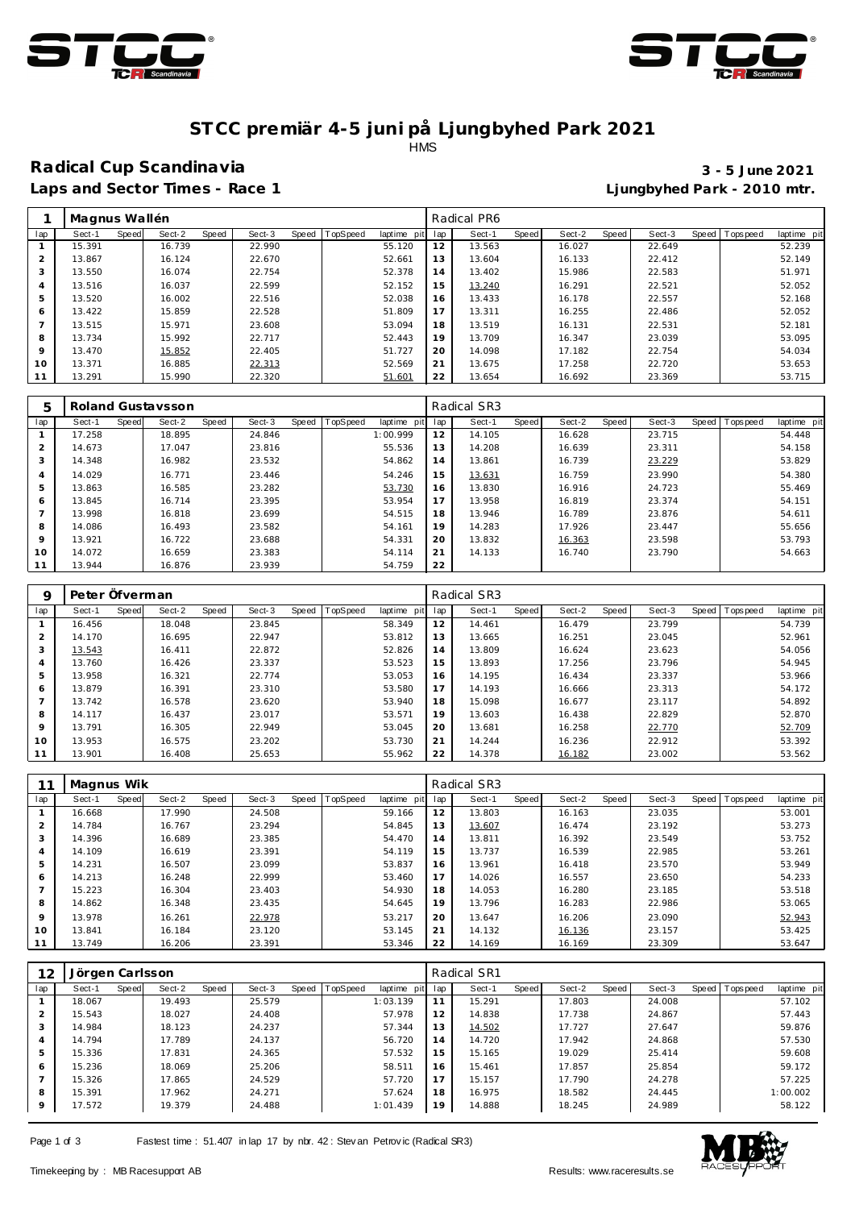



### **ST CC premiär 4-5 juni på Ljungbyhed Park 2021** HMS

## **Radical Cup Scandinavia 3 - 5 June 2021**

**Laps and Sector Times - Race 1 Ljungbyhed Park - 2010 mtr.**

|                | Magnus Wallén |       |        |       |        |                |             |     | Radical PR6 |       |        |       |        |                |             |
|----------------|---------------|-------|--------|-------|--------|----------------|-------------|-----|-------------|-------|--------|-------|--------|----------------|-------------|
| lap            | Sect-1        | Speed | Sect-2 | Speed | Sect-3 | Speed TopSpeed | laptime pit | lap | Sect-1      | Speed | Sect-2 | Speed | Sect-3 | Speed Topspeed | laptime pit |
|                | 15.391        |       | 16.739 |       | 22.990 |                | 55.120      | 12  | 13.563      |       | 16.027 |       | 22.649 |                | 52.239      |
| 2              | 13.867        |       | 16.124 |       | 22.670 |                | 52.661      | 13  | 13.604      |       | 16.133 |       | 22.412 |                | 52.149      |
| 3              | 13.550        |       | 16.074 |       | 22.754 |                | 52.378      | 14  | 13.402      |       | 15.986 |       | 22.583 |                | 51.971      |
| 4              | 13.516        |       | 16.037 |       | 22.599 |                | 52.152      | 15  | 13.240      |       | 16.291 |       | 22.521 |                | 52.052      |
| 5              | 13.520        |       | 16.002 |       | 22.516 |                | 52.038      | 16  | 13.433      |       | 16.178 |       | 22.557 |                | 52.168      |
| 6              | 13.422        |       | 15.859 |       | 22.528 |                | 51.809      | 17  | 13.311      |       | 16.255 |       | 22.486 |                | 52.052      |
| $\overline{7}$ | 13.515        |       | 15.971 |       | 23.608 |                | 53.094      | 18  | 13.519      |       | 16.131 |       | 22.531 |                | 52.181      |
| 8              | 13.734        |       | 15.992 |       | 22.717 |                | 52.443      | 19  | 13.709      |       | 16.347 |       | 23.039 |                | 53.095      |
| 9              | 13.470        |       | 15.852 |       | 22.405 |                | 51.727      | 20  | 14.098      |       | 17.182 |       | 22.754 |                | 54.034      |
| 10             | 13.371        |       | 16.885 |       | 22.313 |                | 52.569      | 21  | 13.675      |       | 17.258 |       | 22.720 |                | 53.653      |
| 11             | 13.291        |       | 15.990 |       | 22.320 |                | 51.601      | 22  | 13.654      |       | 16.692 |       | 23.369 |                | 53.715      |

| 5              |        |       | Roland Gustaysson |       |        |       |          |             |     | Radical SR3 |       |        |       |        |                   |             |
|----------------|--------|-------|-------------------|-------|--------|-------|----------|-------------|-----|-------------|-------|--------|-------|--------|-------------------|-------------|
| lap            | Sect-1 | Speed | Sect-2            | Speed | Sect-3 | Speed | TopSpeed | laptime pit | lap | Sect-1      | Speed | Sect-2 | Speed | Sect-3 | Speed   Tops peed | laptime pit |
|                | 17.258 |       | 18.895            |       | 24.846 |       |          | 1:00.999    | 12  | 14.105      |       | 16.628 |       | 23.715 |                   | 54.448      |
| $\overline{2}$ | 14.673 |       | 17.047            |       | 23.816 |       |          | 55.536      | 13  | 14.208      |       | 16.639 |       | 23.311 |                   | 54.158      |
| 3              | 14.348 |       | 16.982            |       | 23.532 |       |          | 54.862      | 14  | 13.861      |       | 16.739 |       | 23.229 |                   | 53.829      |
| $\overline{4}$ | 14.029 |       | 16.771            |       | 23.446 |       |          | 54.246      | 15  | 13.631      |       | 16.759 |       | 23.990 |                   | 54.380      |
| 5              | 13.863 |       | 16.585            |       | 23.282 |       |          | 53.730      | 16  | 13.830      |       | 16.916 |       | 24.723 |                   | 55.469      |
| 6              | 13.845 |       | 16.714            |       | 23.395 |       |          | 53.954      | 17  | 13.958      |       | 16.819 |       | 23.374 |                   | 54.151      |
|                | 13.998 |       | 16.818            |       | 23.699 |       |          | 54.515      | 18  | 13.946      |       | 16.789 |       | 23.876 |                   | 54.611      |
| 8              | 14.086 |       | 16.493            |       | 23.582 |       |          | 54.161      | 19  | 14.283      |       | 17.926 |       | 23.447 |                   | 55.656      |
| 9              | 13.921 |       | 16.722            |       | 23.688 |       |          | 54.331      | 20  | 13.832      |       | 16.363 |       | 23.598 |                   | 53.793      |
| 10             | 14.072 |       | 16.659            |       | 23.383 |       |          | 54.114      | 21  | 14.133      |       | 16.740 |       | 23.790 |                   | 54.663      |
| 11             | 13.944 |       | 16.876            |       | 23.939 |       |          | 54.759      | 22  |             |       |        |       |        |                   |             |

| Q              | Peter Öfverman |       |        |       |        |                  |             |     | Radical SR3 |       |        |       |        |                |             |
|----------------|----------------|-------|--------|-------|--------|------------------|-------------|-----|-------------|-------|--------|-------|--------|----------------|-------------|
| lap            | Sect-1         | Speed | Sect-2 | Speed | Sect-3 | Speed   TopSpeed | laptime pit | lap | Sect-1      | Speed | Sect-2 | Speed | Sect-3 | Speed Topspeed | laptime pit |
|                | 16.456         |       | 18.048 |       | 23.845 |                  | 58.349      | 12  | 14.461      |       | 16.479 |       | 23.799 |                | 54.739      |
| $\overline{2}$ | 14.170         |       | 16.695 |       | 22.947 |                  | 53.812      | 13  | 13.665      |       | 16.251 |       | 23.045 |                | 52.961      |
| 3              | 13.543         |       | 16.411 |       | 22.872 |                  | 52.826      | 14  | 13.809      |       | 16.624 |       | 23.623 |                | 54.056      |
| 4              | 13.760         |       | 16.426 |       | 23.337 |                  | 53.523      | 15  | 13.893      |       | 17.256 |       | 23.796 |                | 54.945      |
| 5              | 13.958         |       | 16.321 |       | 22.774 |                  | 53.053      | 16  | 14.195      |       | 16.434 |       | 23.337 |                | 53.966      |
| 6              | 13.879         |       | 16.391 |       | 23.310 |                  | 53.580      | 17  | 14.193      |       | 16.666 |       | 23.313 |                | 54.172      |
|                | 13.742         |       | 16.578 |       | 23.620 |                  | 53.940      | 18  | 15.098      |       | 16.677 |       | 23.117 |                | 54.892      |
| 8              | 14.117         |       | 16.437 |       | 23.017 |                  | 53.571      | 19  | 13.603      |       | 16.438 |       | 22.829 |                | 52.870      |
| 9              | 13.791         |       | 16.305 |       | 22.949 |                  | 53.045      | 20  | 13.681      |       | 16.258 |       | 22.770 |                | 52.709      |
| 10             | 13.953         |       | 16.575 |       | 23.202 |                  | 53.730      | 21  | 14.244      |       | 16.236 |       | 22.912 |                | 53.392      |
|                | 13.901         |       | 16.408 |       | 25.653 |                  | 55.962      | 22  | 14.378      |       | 16.182 |       | 23.002 |                | 53.562      |

|                | Magnus Wik |       |        |       |        |       |          |             |     | Radical SR3 |       |        |       |        |                 |             |
|----------------|------------|-------|--------|-------|--------|-------|----------|-------------|-----|-------------|-------|--------|-------|--------|-----------------|-------------|
| lap            | Sect-1     | Speed | Sect-2 | Speed | Sect-3 | Speed | TopSpeed | laptime pit | lap | Sect-1      | Speed | Sect-2 | Speed | Sect-3 | Speed Tops peed | laptime pit |
|                | 16.668     |       | 17.990 |       | 24.508 |       |          | 59.166      | 12  | 13.803      |       | 16.163 |       | 23.035 |                 | 53.001      |
| $\overline{2}$ | 14.784     |       | 16.767 |       | 23.294 |       |          | 54.845      | 13  | 13.607      |       | 16.474 |       | 23.192 |                 | 53.273      |
| 3              | 14.396     |       | 16.689 |       | 23.385 |       |          | 54.470      | 14  | 13.811      |       | 16.392 |       | 23.549 |                 | 53.752      |
| $\overline{4}$ | 14.109     |       | 16.619 |       | 23.391 |       |          | 54.119      | 15  | 13.737      |       | 16.539 |       | 22.985 |                 | 53.261      |
| 5              | 14.231     |       | 16.507 |       | 23.099 |       |          | 53.837      | 16  | 13.961      |       | 16.418 |       | 23.570 |                 | 53.949      |
| 6              | 14.213     |       | 16.248 |       | 22.999 |       |          | 53.460      | 17  | 14.026      |       | 16.557 |       | 23.650 |                 | 54.233      |
|                | 15.223     |       | 16.304 |       | 23.403 |       |          | 54.930      | 18  | 14.053      |       | 16.280 |       | 23.185 |                 | 53.518      |
| 8              | 14.862     |       | 16.348 |       | 23.435 |       |          | 54.645      | 19  | 13.796      |       | 16.283 |       | 22.986 |                 | 53.065      |
| 9              | 13.978     |       | 16.261 |       | 22.978 |       |          | 53.217      | 20  | 13.647      |       | 16.206 |       | 23.090 |                 | 52.943      |
| 10             | 13.841     |       | 16.184 |       | 23.120 |       |          | 53.145      | 21  | 14.132      |       | 16.136 |       | 23.157 |                 | 53.425      |
| 11             | 13.749     |       | 16.206 |       | 23.391 |       |          | 53.346      | 22  | 14.169      |       | 16.169 |       | 23.309 |                 | 53.647      |

| 12             | Jörgen Carlsson |       |        |       |        |                |             |     | Radical SR1 |       |        |       |        |                |             |
|----------------|-----------------|-------|--------|-------|--------|----------------|-------------|-----|-------------|-------|--------|-------|--------|----------------|-------------|
| lap            | Sect-1          | Speed | Sect-2 | Speed | Sect-3 | Speed TopSpeed | laptime pit | lap | Sect-1      | Speed | Sect-2 | Speed | Sect-3 | Speed Topspeed | laptime pit |
|                | 18.067          |       | 19.493 |       | 25.579 |                | 1:03.139    | 11  | 15.291      |       | 17.803 |       | 24.008 |                | 57.102      |
| $\overline{2}$ | 15.543          |       | 18.027 |       | 24.408 |                | 57.978      | 12  | 14.838      |       | 17.738 |       | 24.867 |                | 57.443      |
| 3              | 14.984          |       | 18.123 |       | 24.237 |                | 57.344      | 13  | 14.502      |       | 17.727 |       | 27.647 |                | 59.876      |
| 4              | 14.794          |       | 17.789 |       | 24.137 |                | 56.720      | 14  | 14.720      |       | 17.942 |       | 24.868 |                | 57.530      |
| 5              | 15.336          |       | 17.831 |       | 24.365 |                | 57.532      | 15  | 15.165      |       | 19.029 |       | 25.414 |                | 59.608      |
| 6              | 15.236          |       | 18.069 |       | 25.206 |                | 58.511      | 16  | 15.461      |       | 17.857 |       | 25.854 |                | 59.172      |
|                | 15.326          |       | 17.865 |       | 24.529 |                | 57.720      | 17  | 15.157      |       | 17.790 |       | 24.278 |                | 57.225      |
| 8              | 15.391          |       | 17.962 |       | 24.271 |                | 57.624      | 18  | 16.975      |       | 18.582 |       | 24.445 |                | 1:00.002    |
| $\circ$        | 17.572          |       | 19.379 |       | 24.488 |                | 1:01.439    | 19  | 14.888      |       | 18.245 |       | 24.989 |                | 58.122      |

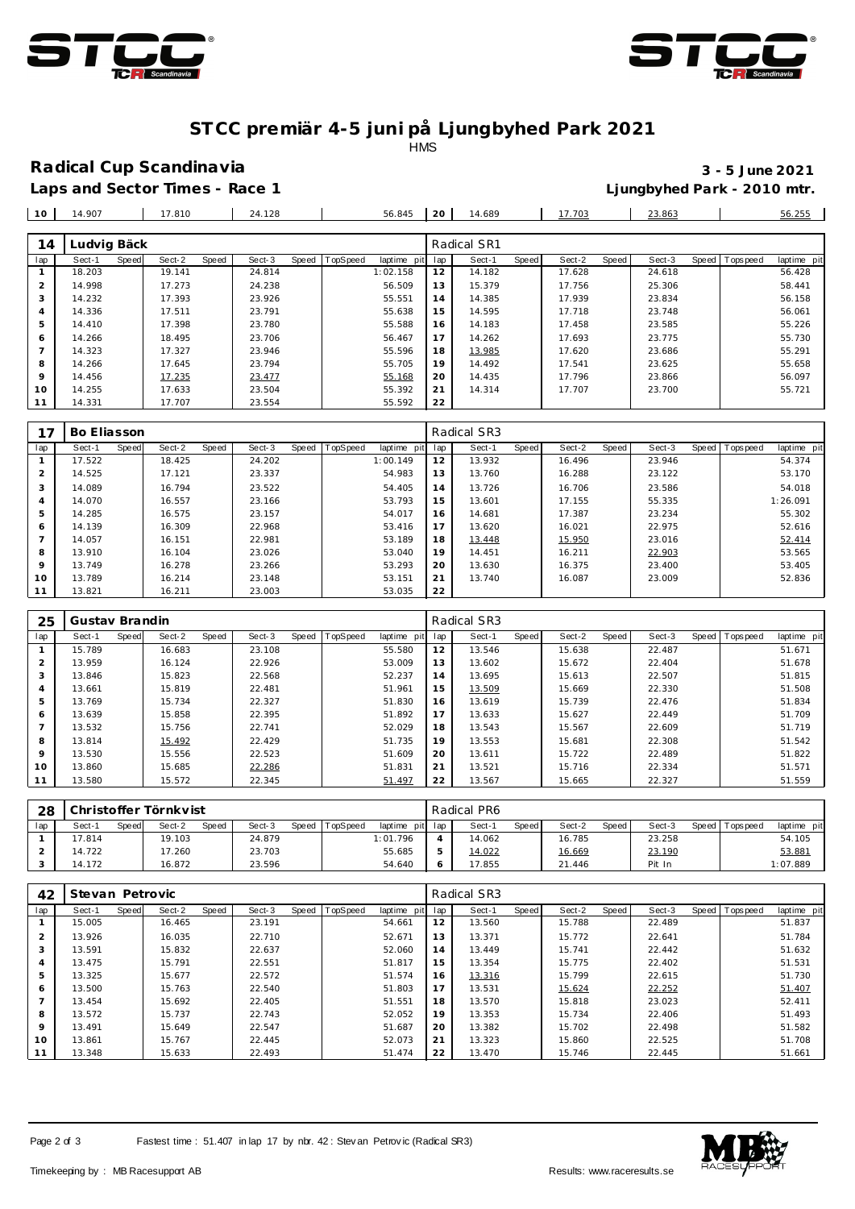



## **ST CC premiär 4-5 juni på Ljungbyhed Park 2021**

**HMS** 

### **Radical Cup Scandinavia 3 - 5 June 2021**

 14.183 17.458 23.585 55.226 14.262 17.693 23.775 55.730 13.985 17.620 23.686 55.291 14.492 17.541 23.625 55.658 14.435 17.796 23.866 56.097 14.314 17.707 23.700 55.721

**Laps and Sector Times - Race 1 Ljungbyhed Park - 2010 mtr.**

 14.410 17.398 23.780 55.588 14.266 18.495 23.706 18.467 7 | 14.323 | 17.327 | 23.946 | 55.596 14.266 17.645 23.794 55.705 14.456 <u>17.235 23.477</u> 1 5<u>5.168</u> 10 | 14.255 | 17.633 | 23.504 | 55.392

| 10  | 14.907      |       | 17.810 |       | 24.128 |              |          | 56.845          | 20             | 14.689      |       | 17.703 |       | 23.863 |       |           | 56.255      |
|-----|-------------|-------|--------|-------|--------|--------------|----------|-----------------|----------------|-------------|-------|--------|-------|--------|-------|-----------|-------------|
|     |             |       |        |       |        |              |          |                 |                |             |       |        |       |        |       |           |             |
| 14  | Ludvig Bäck |       |        |       |        |              |          |                 |                | Radical SR1 |       |        |       |        |       |           |             |
| lap | Sect-1      | Speed | Sect-2 | Speed | Sect-3 | <b>Speed</b> | TopSpeed | laptime<br>pitl | lap            | Sect-1      | Speed | Sect-2 | Speed | Sect-3 | Speed | Tops peed | laptime pit |
|     | 18.203      |       | 19.141 |       | 24.814 |              |          | 1:02.158        | 2              | 14.182      |       | 17.628 |       | 24.618 |       |           | 56.428      |
|     | 14.998      |       | 17.273 |       | 24.238 |              |          | 56.509          | 13             | 15.379      |       | 17.756 |       | 25.306 |       |           | 58.441      |
|     | 14.232      |       | 17.393 |       | 23.926 |              |          | 55.551          | $\overline{4}$ | 14.385      |       | 17.939 |       | 23.834 |       |           | 56.158      |
|     | 14.336      |       | 17.511 |       | 23.791 |              |          | 55.638          | 5              | 14.595      |       | 17.718 |       | 23.748 |       |           | 56.061      |

|                | 14.331          | 17.707 |       | 23.554 |                  | 55.592          | -22 |             |       |        |       |        |                  |             |
|----------------|-----------------|--------|-------|--------|------------------|-----------------|-----|-------------|-------|--------|-------|--------|------------------|-------------|
|                |                 |        |       |        |                  |                 |     |             |       |        |       |        |                  |             |
|                | Bo Eliasson     |        |       |        |                  |                 |     | Radical SR3 |       |        |       |        |                  |             |
| lap            | Sect-1<br>Speed | Sect-2 | Speed | Sect-3 | Speed   TopSpeed | laptime pit lap |     | Sect-1      | Speed | Sect-2 | Speed | Sect-3 | Speed   Topspeed | laptime pit |
|                | 17.522          | 18.425 |       | 24.202 |                  | 1:00.149        | 12  | 13.932      |       | 16.496 |       | 23.946 |                  | 54.374      |
| $\overline{2}$ | 14.525          | 17.121 |       | 23.337 |                  | 54.983          | 13  | 13.760      |       | 16.288 |       | 23.122 |                  | 53.170      |
| 3              | 14.089          | 16.794 |       | 23.522 |                  | 54.405          | 14  | 13.726      |       | 16.706 |       | 23.586 |                  | 54.018      |
| $\overline{4}$ | 14.070          | 16.557 |       | 23.166 |                  | 53.793          | 15  | 13.601      |       | 17.155 |       | 55.335 |                  | 1:26.091    |
| 5              | 14.285          | 16.575 |       | 23.157 |                  | 54.017          | 16  | 14.681      |       | 17.387 |       | 23.234 |                  | 55.302      |
| 6              | 14.139          | 16.309 |       | 22.968 |                  | 53.416          | 17  | 13.620      |       | 16.021 |       | 22.975 |                  | 52.616      |
|                | 14.057          | 16.151 |       | 22.981 |                  | 53.189          | 18  | 13.448      |       | 15.950 |       | 23.016 |                  | 52.414      |
| 8              | 13.910          | 16.104 |       | 23.026 |                  | 53.040          | 19  | 14.451      |       | 16.211 |       | 22.903 |                  | 53.565      |
| 9              | 13.749          | 16.278 |       | 23.266 |                  | 53.293          | 20  | 13.630      |       | 16.375 |       | 23.400 |                  | 53.405      |
| 10             | 13.789          | 16.214 |       | 23.148 |                  | 53.151          | 21  | 13.740      |       | 16.087 |       | 23.009 |                  | 52.836      |
| 11             | 13.821          | 16.211 |       | 23.003 |                  | 53.035          | 22  |             |       |        |       |        |                  |             |

| 25             | Gustav Brandin |       |        |       |        |                |             |     | Radical SR3 |       |        |       |        |       |           |             |
|----------------|----------------|-------|--------|-------|--------|----------------|-------------|-----|-------------|-------|--------|-------|--------|-------|-----------|-------------|
| lap            | Sect-1         | Speed | Sect-2 | Speed | Sect-3 | Speed TopSpeed | laptime pit | lap | Sect-1      | Speed | Sect-2 | Speed | Sect-3 | Speed | Tops peed | laptime pit |
|                | 15.789         |       | 16.683 |       | 23.108 |                | 55.580      | 12  | 13.546      |       | 15.638 |       | 22.487 |       |           | 51.671      |
| $\mathcal{P}$  | 13.959         |       | 16.124 |       | 22.926 |                | 53.009      | 13  | 13.602      |       | 15.672 |       | 22.404 |       |           | 51.678      |
| 3              | 13.846         |       | 15.823 |       | 22.568 |                | 52.237      | 14  | 13.695      |       | 15.613 |       | 22.507 |       |           | 51.815      |
| $\overline{4}$ | 13.661         |       | 15.819 |       | 22.481 |                | 51.961      | 15  | 13.509      |       | 15.669 |       | 22.330 |       |           | 51.508      |
| 5              | 13.769         |       | 15.734 |       | 22.327 |                | 51.830      | 16  | 13.619      |       | 15.739 |       | 22.476 |       |           | 51.834      |
| 6              | 13.639         |       | 15.858 |       | 22.395 |                | 51.892      | 17  | 13.633      |       | 15.627 |       | 22.449 |       |           | 51.709      |
|                | 13.532         |       | 15.756 |       | 22.741 |                | 52.029      | 18  | 13.543      |       | 15.567 |       | 22.609 |       |           | 51.719      |
| 8              | 13.814         |       | 15.492 |       | 22.429 |                | 51.735      | 19  | 13.553      |       | 15.681 |       | 22.308 |       |           | 51.542      |
| 9              | 13.530         |       | 15.556 |       | 22.523 |                | 51.609      | 20  | 13.611      |       | 15.722 |       | 22.489 |       |           | 51.822      |
| 10             | 13.860         |       | 15.685 |       | 22.286 |                | 51.831      | 21  | 13.521      |       | 15.716 |       | 22.334 |       |           | 51.571      |
| 11             | 13.580         |       | 15.572 |       | 22.345 |                | 51.497      | 22  | 13.567      |       | 15.665 |       | 22.327 |       |           | 51.559      |

| 28  |        |       | Christoffer Törnkvist |       |        |       |                 |             |     | Radical PR6 |              |        |       |        |                 |             |
|-----|--------|-------|-----------------------|-------|--------|-------|-----------------|-------------|-----|-------------|--------------|--------|-------|--------|-----------------|-------------|
| lap | Sect-′ | Speed | Sect-2                | Speed | Sect-3 | Speed | <b>TopSpeed</b> | laptime pit | lan | Sect-1      | <b>Speed</b> | Sect-2 | Speed | Sect-3 | Speed Tops peed | laptime pit |
|     | 17.814 |       | 19.103                |       | 24.879 |       |                 | 1:01.796    |     | 14.062      |              | 16.785 |       | 23.258 |                 | 54.105      |
|     | 14.722 |       | 17.260                |       | 23.703 |       |                 | 55.685      |     | 14.022      |              | 16.669 |       | 23.190 |                 | 53.881      |
|     | 14.172 |       | 16.872                |       | 23.596 |       |                 | 54.640      |     | 17.855      |              | 21.446 |       | Pit In |                 | 1:07.889    |

| 42             | Stevan Petrovic |       |        |       |        |       |                 |             |     | Radical SR3 |       |        |       |        |                  |             |
|----------------|-----------------|-------|--------|-------|--------|-------|-----------------|-------------|-----|-------------|-------|--------|-------|--------|------------------|-------------|
| lap            | Sect-1          | Speed | Sect-2 | Speed | Sect-3 | Speed | <b>TopSpeed</b> | laptime pit | lap | Sect-1      | Speed | Sect-2 | Speed | Sect-3 | Speed   Topspeed | laptime pit |
|                | 15.005          |       | 16.465 |       | 23.191 |       |                 | 54.661      | 12  | 13.560      |       | 15.788 |       | 22.489 |                  | 51.837      |
| $\overline{2}$ | 13.926          |       | 16.035 |       | 22.710 |       |                 | 52.671      | 13  | 13.371      |       | 15.772 |       | 22.641 |                  | 51.784      |
| 3              | 13.591          |       | 15.832 |       | 22.637 |       |                 | 52.060      | 14  | 13.449      |       | 15.741 |       | 22.442 |                  | 51.632      |
| 4              | 13.475          |       | 15.791 |       | 22.551 |       |                 | 51.817      | 15  | 13.354      |       | 15.775 |       | 22.402 |                  | 51.531      |
| 5              | 13.325          |       | 15.677 |       | 22.572 |       |                 | 51.574      | 16  | 13.316      |       | 15.799 |       | 22.615 |                  | 51.730      |
| 6              | 13.500          |       | 15.763 |       | 22.540 |       |                 | 51.803      | 17  | 13.531      |       | 15.624 |       | 22.252 |                  | 51.407      |
|                | 13.454          |       | 15.692 |       | 22.405 |       |                 | 51.551      | 18  | 13.570      |       | 15.818 |       | 23.023 |                  | 52.411      |
| 8              | 13.572          |       | 15.737 |       | 22.743 |       |                 | 52.052      | 19  | 13.353      |       | 15.734 |       | 22.406 |                  | 51.493      |
| 9              | 13.491          |       | 15.649 |       | 22.547 |       |                 | 51.687      | 20  | 13.382      |       | 15.702 |       | 22.498 |                  | 51.582      |
| $10^{-}$       | 13.861          |       | 15.767 |       | 22.445 |       |                 | 52.073      | 21  | 13.323      |       | 15.860 |       | 22.525 |                  | 51.708      |
| 11             | 13.348          |       | 15.633 |       | 22.493 |       |                 | 51.474      | 22  | 13.470      |       | 15.746 |       | 22.445 |                  | 51.661      |